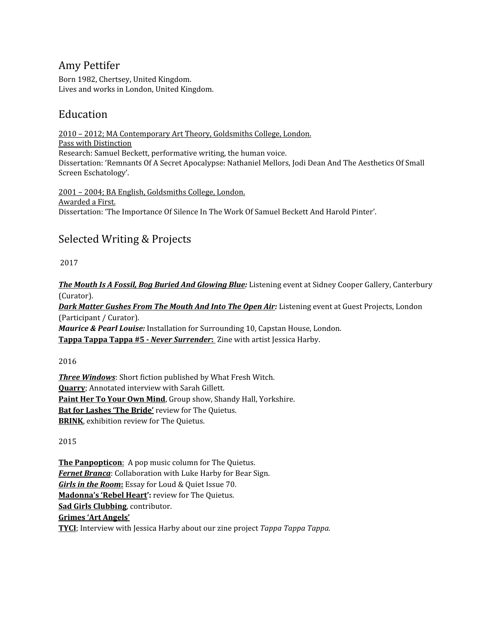### Amy Pettifer

Born 1982, Chertsey, United Kingdom. Lives and works in London, United Kingdom.

## Education

2010 – 2012; MA Contemporary Art Theory, Goldsmiths College, London. Pass with Distinction Research: Samuel Beckett, performative writing, the human voice. Dissertation: 'Remnants Of A Secret Apocalypse: Nathaniel Mellors, Jodi Dean And The Aesthetics Of Small Screen Eschatology'.

2001 – 2004; BA English, Goldsmiths College, London. Awarded a First. Dissertation: 'The Importance Of Silence In The Work Of Samuel Beckett And Harold Pinter'.

# Selected Writing & Projects

2017

*The Mouth Is A Fossil, Bog Buried And [Glowing](http://www.shell-like.com/post/165544475592/listening-event-2-the-mouth-is-a-fossil-bog) Blue:* Listening event at Sidney Cooper Gallery, Canterbury (Curator).

*Dark Matter [Gushes](http://www.shell-like.com/post/160660682797/listening-event-1) From The Mouth And Into The Open Air:* Listening event at Guest Projects, London (Participant / Curator).

*Maurice & Pearl Louise:* Installation for Surrounding 10, Capstan House, London.

**[Tappa](http://www.tappazine.com/issue-5) Tappa Tappa #5 -** *Never [Surrender](http://www.tappazine.com/issue-5)***[:](http://www.tappazine.com/issue-5)** Zine with artist Jessica Harby.

2016

*Three [Windows](http://www.whatfreshwitch.com/issueone/threewindows)*: Short fiction published by What Fresh Witch. **[Quarry](http://www.sarahgillett.com/post/149077883330/quarry)**; Annotated interview with Sarah Gillett. **[Paint](http://t.umblr.com/redirect?z=http%3A%2F%2Fwww.laurencesternetrust.org.uk%2Fexhibition.php%3Fid%3D202&t=OWIxM2FlNmUyYmRlMzAwOTZiZTcxODgxODg3NDQ0YzMzZTQ0NzM1YyxUbU4zdWpESg%3D%3D&p=&m=0) Her To Your Own Mind**, Group show, Shandy Hall, Yorkshire. **Bat for [Lashes](http://t.umblr.com/redirect?z=http%3A%2F%2Fthequietus.com%2Farticles%2F20544-bat-for-lashes-the-bride-album-review&t=N2M4NmQ5YzI1YzdiYTk3MDZmNmVlOGQ3ZDlhYWU0ZmM4NGZlNGQyNixUbU4zdWpESg%3D%3D&p=&m=0) 'The Bride'** review for The Quietus. **[BRINK](http://t.umblr.com/redirect?z=http%3A%2F%2Fthequietus.com%2Farticles%2F20062-brink-dilston-grove-review-lucy-skaer-graham-dolphin-eric-pauwels-jean-paul-kelly-chris-saunders&t=ZGUxMzBkNGY3MTIwOGI5MmZkYmJjMzdjMDEyMmVkZjc3M2JiMjcxNixUbU4zdWpESg%3D%3D&p=&m=0)**, exhibition review for The Quietus.

2015

**The [Panpopticon](http://goodgreyday.tumblr.com/post/112915655512/the-panpopticon-a-new-column-for-the-quietus)**[:](http://goodgreyday.tumblr.com/post/112915655512/the-panpopticon-a-new-column-for-the-quietus) A pop music column for The Quietus. *Fernet [Branca](http://t.umblr.com/redirect?z=http%3A%2F%2Fwww.bear-sign.com%2Fimages%2F4%2F13%2Ffocus-fernet-branca-amy-pettifer-luke-harby&t=ZDAwYjU2OTFmMTFhMjUxZmY3ZTZiYzM3ZDQyOTg2MTY2NzQ3YTJjOSxUbU4zdWpESg%3D%3D&p=&m=0)*: Collaboration with Luke Harby for Bear Sign. *Girls in the [Room](http://t.umblr.com/redirect?z=http%3A%2F%2Fwww.loudandquiet.com%2F2015%2F08%2Floud-and-quiet-digital-70%2F&t=MDg5ZmIwZDVmNWIzMzM0NzQ1NTNhNGE1YWQxYzJlNmM3NzU0MWMxZSxUbU4zdWpESg%3D%3D&p=&m=0)***[:](http://t.umblr.com/redirect?z=http%3A%2F%2Fwww.loudandquiet.com%2F2015%2F08%2Floud-and-quiet-digital-70%2F&t=MDg5ZmIwZDVmNWIzMzM0NzQ1NTNhNGE1YWQxYzJlNmM3NzU0MWMxZSxUbU4zdWpESg%3D%3D&p=&m=0)** Essay for Loud & Quiet Issue 70. **[Madonna's](http://thequietus.com/articles/17298-madonna-m-track-by-track-review) 'Rebel Heart':** review for The Quietus. **Sad Girls [Clubbing](http://t.umblr.com/redirect?z=https%3A%2F%2Fsadgirlsclvb.bandcamp.com%2Freleases&t=YjgzNjc0YTQ3Nzc3YjRiOTM0NGVmY2YyMGZlMmRjMmZkODZhZTk3MyxUbU4zdWpESg%3D%3D&p=&m=0)**, contributor. **Grimes 'Art [Angels'](http://goodgreyday.tumblr.com/post/147091222982/grimes-art-angels-album-review-for-the-quietus) [TYCI](http://www.tyci.org.uk/wordpress/tappa-tappa-tappa/)**; Interview with Jessica Harby about our zine project *Tappa Tappa Tappa.*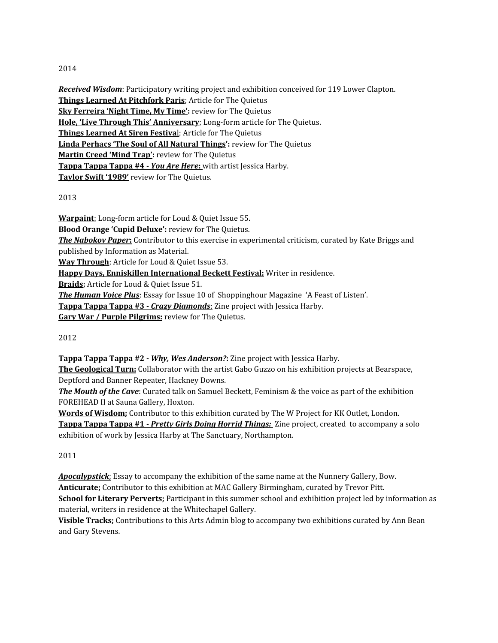#### 2014

*Received Wisdom*: Participatory writing project and exhibition conceived for 119 Lower Clapton. **Things Learned At [Pitchfork](http://thequietus.com/articles/16680-pitchfork-paris-live-review) Paris**; Article for The Quietus **Sky [Ferreira](http://thequietus.com/articles/14843-sky-ferreria-night-time-my-time-review) 'Night Time, My Time':** review for The Quietus **Hole, 'Live Through This' [Anniversary](http://t.umblr.com/redirect?z=http%3A%2F%2Fthequietus.com%2Farticles%2F15124-hole-live-through-this&t=NjMwOWQyMzhmODJjZjg0ZjU3ZjY0ZDE4NmFhM2ExMzg2OTQyOThlYixUbU4zdWpESg%3D%3D&p=&m=0)**; Long-form article for The Quietus. **Things [Learned](http://thequietus.com/articles/15972-things-learned-at-siren-festival) At Siren Festiva**[l](http://thequietus.com/articles/15972-things-learned-at-siren-festival); Article for The Quietus **Linda [Perhacs](http://thequietus.com/articles/14759-linda-perhacs-the-soul-of-all-natural-things-review) 'The Soul of All Natural Things':** review for The Quietus **[Martin](http://thequietus.com/articles/14644-martin-creed-mind-trap) Creed 'Mind Trap':** review for The Quietus **[Tappa](http://www.tappazine.com/issue-4) Tappa Tappa #4 -** *You Are [Here](http://www.tappazine.com/issue-4)***[:](http://www.tappazine.com/issue-4)** [w](http://www.tappazine.com/issue-4)ith artist Jessica Harby. **[Taylor](http://thequietus.com/articles/16790-taylor-swift-1989-review) Swift '1989'** review for The Quietus.

2013

**[Warpaint](http://t.umblr.com/redirect?z=http%3A%2F%2Fwww.loudandquiet.com%2F2014%2F02%2Fwarpaint-interview-2%2F&t=YmE1MzI0MDhjY2VkZmUwOWYzNmI5NTgyMzQzZmYyYzExZTJmZjIzNyxUbU4zdWpESg%3D%3D&p=&m=0)**[:](http://t.umblr.com/redirect?z=http%3A%2F%2Fwww.loudandquiet.com%2F2014%2F02%2Fwarpaint-interview-2%2F&t=YmE1MzI0MDhjY2VkZmUwOWYzNmI5NTgyMzQzZmYyYzExZTJmZjIzNyxUbU4zdWpESg%3D%3D&p=&m=0) Long-form article for Loud & Quiet Issue 55. **Blood [Orange](http://thequietus.com/articles/13959-blood-orange-cupid-deluxe) 'Cupid Deluxe':** review for The Quietus. *The [Nabokov](http://t.umblr.com/redirect?z=http%3A%2F%2Fwww.informationasmaterial.org%2Fportfolio%2Fthe-nabokov-paper%2F&t=Zjk4NjY5MWFiZjc3NGY4YWUwZmM3N2RmNjA3ZDdlMWY1MmY3ZGEyOSxUbU4zdWpESg%3D%3D&p=&m=0) Paper***[:](http://t.umblr.com/redirect?z=http%3A%2F%2Fwww.informationasmaterial.org%2Fportfolio%2Fthe-nabokov-paper%2F&t=Zjk4NjY5MWFiZjc3NGY4YWUwZmM3N2RmNjA3ZDdlMWY1MmY3ZGEyOSxUbU4zdWpESg%3D%3D&p=&m=0)** Contributor to this exercise in experimental criticism, curated by Kate Briggs and published by Information as Material. **Way [Through](http://www.loudandquiet.com/2013/10/loud-and-quiet-digital-issue-53/)**; Article for Loud & Quiet Issue 53. **Happy Days, Enniskillen [International](http://happy-days-enniskillen.tumblr.com/) Beckett Festival:** Writer in residence. **[Braids](http://www.loudandquiet.com/magazines/issue-51-september-2013/);** Article for Loud & Quiet Issue 51. *The [Human](http://www.shoppinghourmagazine.com/issue-10-feast-of-listen-out-now/) Voice Plus*: Essay for Issue 10 of Shoppinghour Magazine 'A Feast of Listen'. **[Tappa](http://www.tappazine.com/issue-3) Tappa Tappa #3 -** *Crazy [Diamonds](http://www.tappazine.com/issue-3)*[:](http://www.tappazine.com/issue-3) Zine project with Jessica Harby. **Gary War / Purple [Pilgrims:](http://thequietus.com/articles/13875-gary-war-purple-pilgrims-split-review)** review for The Quietus.

2012

**[Tappa](http://www.tappazine.com/issue-2) Tappa Tappa #2 -** *Why, Wes [Anderson?](http://www.tappazine.com/issue-2)***[:](http://www.tappazine.com/issue-2)** Zine project with Jessica Harby.

**The [Geological](http://thegeologicalturn.tumblr.com/) Turn:** Collaborator with the artist Gabo Guzzo on his exhibition projects at Bearspace, Deptford and Banner Repeater, Hackney Downs.

*The Mouth of the Cave*: Curated talk on Samuel Beckett, Feminism & the voice as part of the exhibition FOREHEAD II at Sauna Gallery, Hoxton.

**Words of [Wisdom;](http://the-w-project.tumblr.com/post/24118900221/today-our-words-of-wisdom-artwork-comes-from-amy)** Contributor to this exhibition curated by The W [Project](http://t.umblr.com/redirect?z=http%3A%2F%2Ftinyurl.com%2Fcx2msbj&t=OTIzNDlhNjQ0YzE3MDBlMTExZWU4OTljYjMyZTkzMDNmYWM4NzVmYixUbU4zdWpESg%3D%3D&p=&m=0) for KK Outlet, London. **[Tappa](http://www.tappazine.com/issue-1) Tappa Tappa #1 -** *Pretty Girls Doing Horrid [Things:](http://www.tappazine.com/issue-1)* Zine project, created to accompany a solo exhibition of work by Jessica Harby at The Sanctuary, Northampton.

2011

*[Apocalypstick](http://t.umblr.com/redirect?z=http%3A%2F%2Fwww.goodgreyday.blogspot.co.uk%2F2011%2F02%2Fapocalypstick.html&t=MTlhMGJhZmY1NGRlNzQ4ZmQ5ODdiYTlmZTJkYzEwNjllMWIxMjBjMSxUbU4zdWpESg%3D%3D&p=&m=0)*[;](http://t.umblr.com/redirect?z=http%3A%2F%2Fwww.goodgreyday.blogspot.co.uk%2F2011%2F02%2Fapocalypstick.html&t=MTlhMGJhZmY1NGRlNzQ4ZmQ5ODdiYTlmZTJkYzEwNjllMWIxMjBjMSxUbU4zdWpESg%3D%3D&p=&m=0) Essay to accompany the exhibition of the same name at the Nunnery Gallery, Bow. **Anticurate;** Contributor to this exhibition at MAC Gallery Birmingham, curated by Trevor Pitt. **School for Literary Perverts;** Participant in this summer school and exhibition project led by information as material, writers in residence at the Whitechapel Gallery.

**Visible [Tracks;](http://t.umblr.com/redirect?z=http%3A%2F%2Fvisibletracks.wordpress.com%2F2011%2F07%2F08%2Fits-always-the-quiet-ones%2F&t=MWRkYzFmZTBkOWExMmJjZTFkYjRhZjljMmZhZTJiMGI3OTFiNzhhNSxUbU4zdWpESg%3D%3D&p=&m=0)** Contributions to this Arts Admin blog to accompany two exhibitions curated by Ann Bean and Gary Stevens.